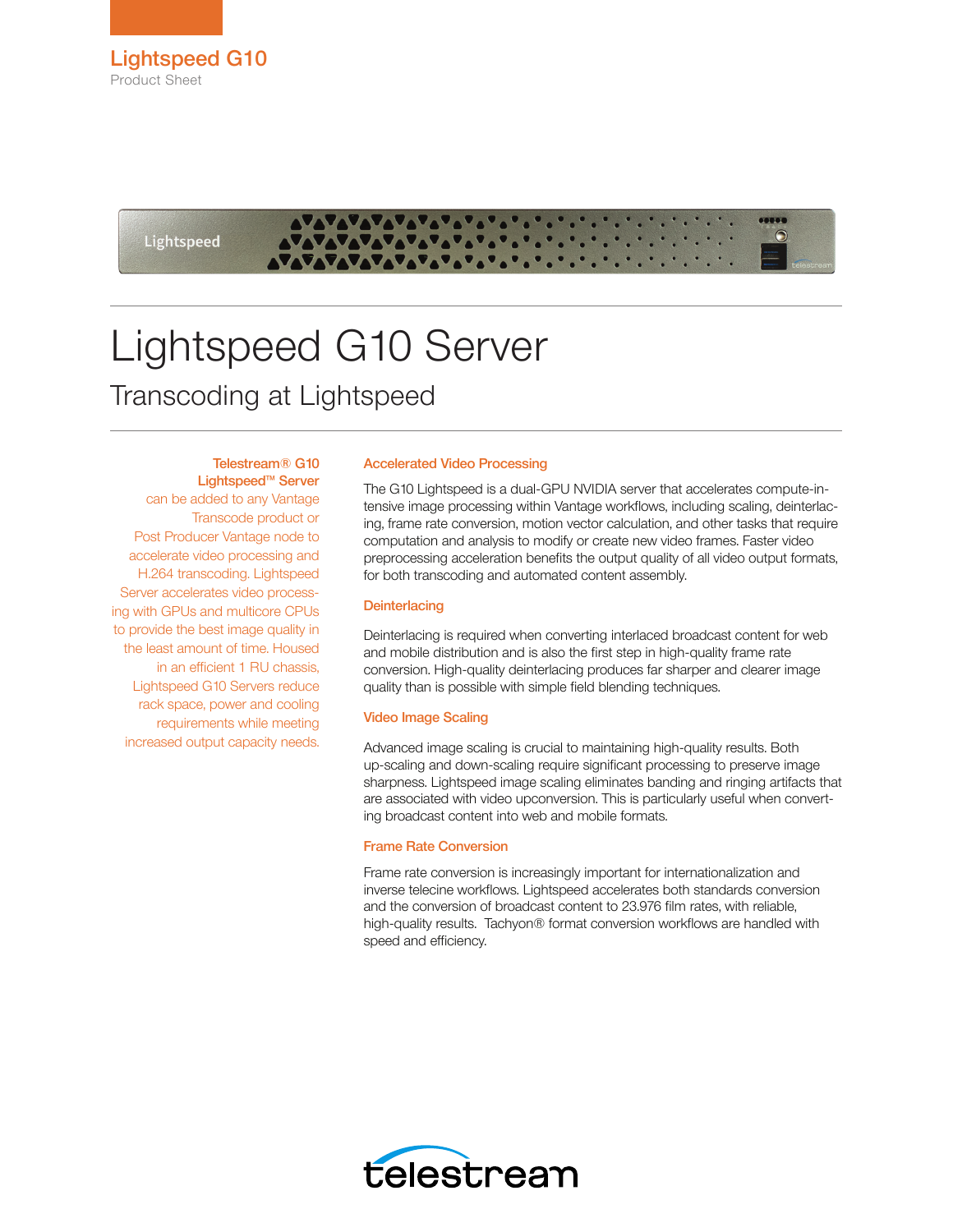

Lightspeed

# Lightspeed G10 Server Transcoding at Lightspeed

# Telestream® G10

Lightspeed™ Server can be added to any Vantage Transcode product or Post Producer Vantage node to accelerate video processing and H.264 transcoding. Lightspeed Server accelerates video processing with GPUs and multicore CPUs to provide the best image quality in the least amount of time. Housed in an efficient 1 RU chassis, Lightspeed G10 Servers reduce rack space, power and cooling requirements while meeting increased output capacity needs.

### Accelerated Video Processing

The G10 Lightspeed is a dual-GPU NVIDIA server that accelerates compute-intensive image processing within Vantage workflows, including scaling, deinterlacing, frame rate conversion, motion vector calculation, and other tasks that require computation and analysis to modify or create new video frames. Faster video preprocessing acceleration benefits the output quality of all video output formats, for both transcoding and automated content assembly.

#### **Deinterlacing**

Deinterlacing is required when converting interlaced broadcast content for web and mobile distribution and is also the first step in high-quality frame rate conversion. High-quality deinterlacing produces far sharper and clearer image quality than is possible with simple field blending techniques.

#### Video Image Scaling

Advanced image scaling is crucial to maintaining high-quality results. Both up-scaling and down-scaling require significant processing to preserve image sharpness. Lightspeed image scaling eliminates banding and ringing artifacts that are associated with video upconversion. This is particularly useful when converting broadcast content into web and mobile formats.

#### Frame Rate Conversion

Frame rate conversion is increasingly important for internationalization and inverse telecine workflows. Lightspeed accelerates both standards conversion and the conversion of broadcast content to 23.976 film rates, with reliable, high-quality results. Tachyon® format conversion workflows are handled with speed and efficiency.